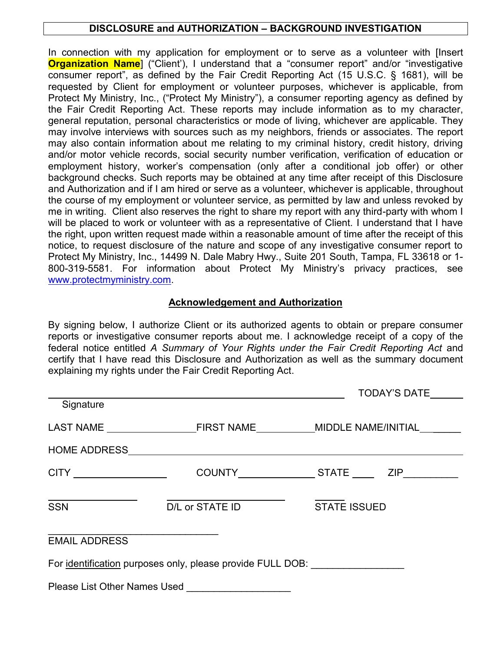# **DISCLOSURE and AUTHORIZATION – BACKGROUND INVESTIGATION**

In connection with my application for employment or to serve as a volunteer with [Insert **Organization Name**] ("Client"), I understand that a "consumer report" and/or "investigative consumer report", as defined by the Fair Credit Reporting Act (15 U.S.C. § 1681), will be requested by Client for employment or volunteer purposes, whichever is applicable, from Protect My Ministry, Inc., ("Protect My Ministry"), a consumer reporting agency as defined by the Fair Credit Reporting Act. These reports may include information as to my character, general reputation, personal characteristics or mode of living, whichever are applicable. They may involve interviews with sources such as my neighbors, friends or associates. The report may also contain information about me relating to my criminal history, credit history, driving and/or motor vehicle records, social security number verification, verification of education or employment history, worker's compensation (only after a conditional job offer) or other background checks. Such reports may be obtained at any time after receipt of this Disclosure and Authorization and if I am hired or serve as a volunteer, whichever is applicable, throughout the course of my employment or volunteer service, as permitted by law and unless revoked by me in writing. Client also reserves the right to share my report with any third-party with whom I will be placed to work or volunteer with as a representative of Client. I understand that I have the right, upon written request made within a reasonable amount of time after the receipt of this notice, to request disclosure of the nature and scope of any investigative consumer report to Protect My Ministry, Inc., 14499 N. Dale Mabry Hwy., Suite 201 South, Tampa, FL 33618 or 1- 800-319-5581. For information about Protect My Ministry's privacy practices, see [www.protectmyministry.com.](http://www.protectmyministry.com/)

# **Acknowledgement and Authorization**

By signing below, I authorize Client or its authorized agents to obtain or prepare consumer reports or investigative consumer reports about me. I acknowledge receipt of a copy of the federal notice entitled *A Summary of Your Rights under the Fair Credit Reporting Act* and certify that I have read this Disclosure and Authorization as well as the summary document explaining my rights under the Fair Credit Reporting Act.

|                                     |                                                                                  | TODAY'S DATE        |
|-------------------------------------|----------------------------------------------------------------------------------|---------------------|
| Signature                           |                                                                                  |                     |
|                                     |                                                                                  |                     |
|                                     |                                                                                  |                     |
|                                     |                                                                                  |                     |
| <b>SSN</b>                          | D/L or STATE ID                                                                  | <b>STATE ISSUED</b> |
| <b>EMAIL ADDRESS</b>                |                                                                                  |                     |
|                                     | For identification purposes only, please provide FULL DOB: _____________________ |                     |
| <b>Please List Other Names Used</b> |                                                                                  |                     |